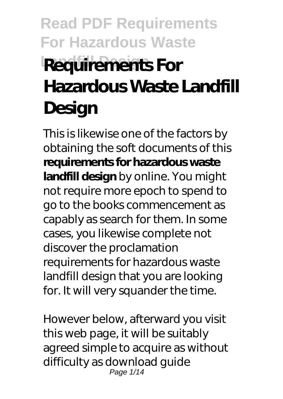# **Read PDF Requirements For Hazardous Waste Requirements For Hazardous Waste Landfill Design**

This is likewise one of the factors by obtaining the soft documents of this **requirements for hazardous waste landfill design** by online. You might not require more epoch to spend to go to the books commencement as capably as search for them. In some cases, you likewise complete not discover the proclamation requirements for hazardous waste landfill design that you are looking for. It will very squander the time.

However below, afterward you visit this web page, it will be suitably agreed simple to acquire as without difficulty as download guide Page 1/14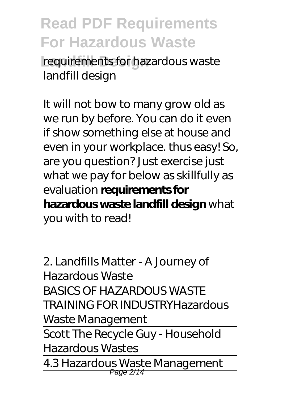**Read PDF Requirements For Hazardous Waste** requirements for hazardous waste landfill design

It will not bow to many grow old as we run by before. You can do it even if show something else at house and even in your workplace. thus easy! So, are you question? Just exercise just what we pay for below as skillfully as evaluation **requirements for hazardous waste landfill design** what you with to read!

2. Landfills Matter - A Journey of Hazardous Waste BASICS OF HAZARDOUS WASTE TRAINING FOR INDUSTRY*Hazardous Waste Management* Scott The Recycle Guy - Household Hazardous Wastes 4.3 Hazardous Waste Management Page 2/14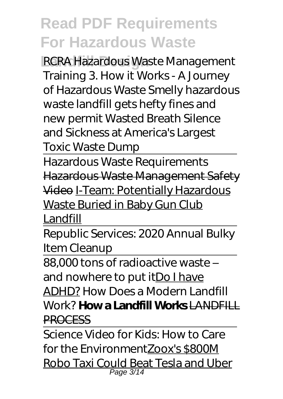**RCRA Hazardous Waste Management** Training 3. How it Works - A Journey of Hazardous Waste *Smelly hazardous waste landfill gets hefty fines and new permit* Wasted Breath Silence and Sickness at America's Largest Toxic Waste Dump

Hazardous Waste Requirements Hazardous Waste Management Safety Video I-Team: Potentially Hazardous Waste Buried in Baby Gun Club

Landfill

Republic Services: 2020 Annual Bulky Item Cleanup

88,000 tons of radioactive waste – and nowhere to put itDo I have ADHD? *How Does a Modern Landfill Work?* **How a Landfill Works** LANDFILL PROCESS

Science Video for Kids: How to Care for the EnvironmentZoox's \$800M Robo Taxi Could Beat Tesla and Uber Page 3/14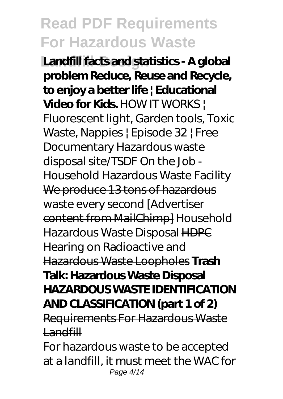**Landfill facts and statistics - A global problem Reduce, Reuse and Recycle, to enjoy a better life | Educational Video for Kids.** HOW IT WORKS | Fluorescent light, Garden tools, Toxic Waste, Nappies | Episode 32 | Free Documentary *Hazardous waste disposal site/TSDF On the Job - Household Hazardous Waste Facility* We produce 13 tons of hazardous waste every second [Advertiser content from MailChimp] *Household Hazardous Waste Disposal* HDPC Hearing on Radioactive and Hazardous Waste Loopholes **Trash Talk: Hazardous Waste Disposal HAZARDOUS WASTE IDENTIFICATION AND CLASSIFICATION (part 1 of 2)** Requirements For Hazardous Waste **Landfill** For hazardous waste to be accepted

at a landfill, it must meet the WAC for Page 4/14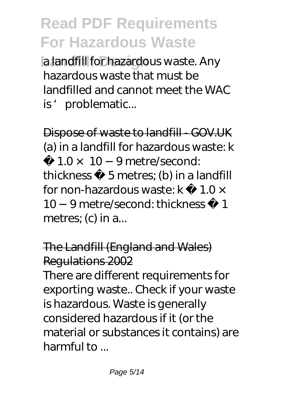**La landfill for hazardous waste. Any** hazardous waste that must be landfilled and cannot meet the WAC is' problematic...

Dispose of waste to landfill - GOV.UK (a) in a landfill for hazardous waste: k

 $1.0 \times 10 - 9$  metre/second: thickness ≥ 5 metres; (b) in a landfill for non-hazardous waste: k  $1.0 \times$ 10 −9 metre/second: thickness ≥ 1 metres; (c) in a...

The Landfill (England and Wales) Regulations 2002

There are different requirements for exporting waste.. Check if your waste is hazardous. Waste is generally considered hazardous if it (or the material or substances it contains) are harmful to ...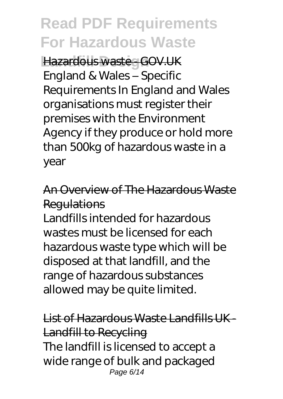**Hazardous waste - GOV.UK** England & Wales – Specific Requirements In England and Wales organisations must register their premises with the Environment Agency if they produce or hold more than 500kg of hazardous waste in a year

An Overview of The Hazardous Waste **Regulations** 

Landfills intended for hazardous wastes must be licensed for each hazardous waste type which will be disposed at that landfill, and the range of hazardous substances allowed may be quite limited.

List of Hazardous Waste Landfills UK - Landfill to Recycling The landfill is licensed to accept a wide range of bulk and packaged Page 6/14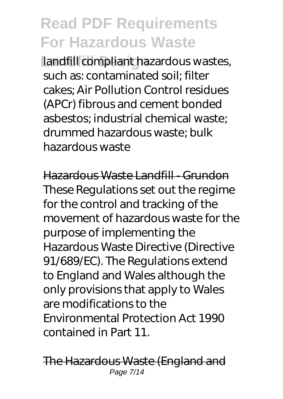**Landfill compliant hazardous wastes,** such as: contaminated soil; filter cakes; Air Pollution Control residues (APCr) fibrous and cement bonded asbestos; industrial chemical waste; drummed hazardous waste; bulk hazardous waste

Hazardous Waste Landfill - Grundon These Regulations set out the regime for the control and tracking of the movement of hazardous waste for the purpose of implementing the Hazardous Waste Directive (Directive 91/689/EC). The Regulations extend to England and Wales although the only provisions that apply to Wales are modifications to the Environmental Protection Act 1990 contained in Part 11.

The Hazardous Waste (England and Page 7/14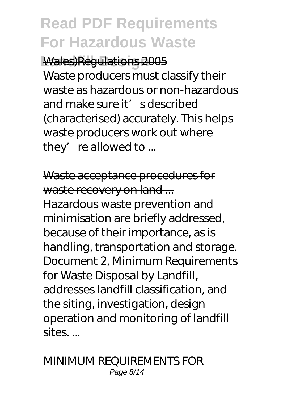**Landfill Design** Wales)Regulations 2005

Waste producers must classify their waste as hazardous or non-hazardous and make sure it's described (characterised) accurately. This helps waste producers work out where they' re allowed to  $\ldots$ 

Waste acceptance procedures for waste recovery on land ... Hazardous waste prevention and minimisation are briefly addressed, because of their importance, as is handling, transportation and storage. Document 2, Minimum Requirements for Waste Disposal by Landfill, addresses landfill classification, and the siting, investigation, design operation and monitoring of landfill sites. ...

#### MINIMUM REQUIREMENTS FOR Page 8/14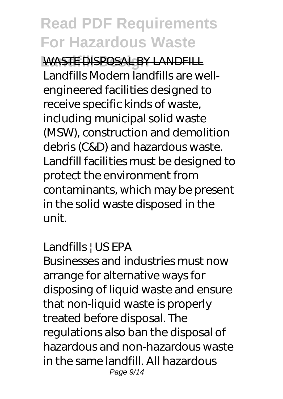**Landfill Design** WASTE DISPOSAL BY LANDFILL Landfills Modern landfills are wellengineered facilities designed to receive specific kinds of waste, including municipal solid waste (MSW), construction and demolition debris (C&D) and hazardous waste. Landfill facilities must be designed to protect the environment from contaminants, which may be present in the solid waste disposed in the unit.

#### Landfills | US EPA

Businesses and industries must now arrange for alternative ways for disposing of liquid waste and ensure that non-liquid waste is properly treated before disposal. The regulations also ban the disposal of hazardous and non-hazardous waste in the same landfill. All hazardous Page 9/14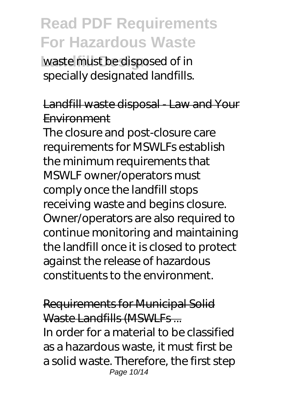**Landfill Design** waste must be disposed of in specially designated landfills.

### Landfill waste disposal - Law and Your Environment

The closure and post-closure care requirements for MSWLFs establish the minimum requirements that MSWLF owner/operators must comply once the landfill stops receiving waste and begins closure. Owner/operators are also required to continue monitoring and maintaining the landfill once it is closed to protect against the release of hazardous constituents to the environment.

Requirements for Municipal Solid Waste Landfills (MSWLFs... In order for a material to be classified as a hazardous waste, it must first be a solid waste. Therefore, the first step Page 10/14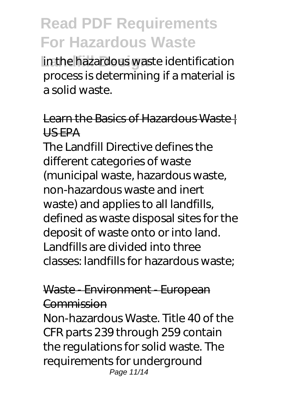**Landfill Design** in the hazardous waste identification process is determining if a material is a solid waste.

### Learn the Basics of Hazardous Waste! US EPA

The Landfill Directive defines the different categories of waste (municipal waste, hazardous waste, non-hazardous waste and inert waste) and applies to all landfills, defined as waste disposal sites for the deposit of waste onto or into land. Landfills are divided into three classes: landfills for hazardous waste;

### Waste - Environment - European Commission

Non-hazardous Waste. Title 40 of the CFR parts 239 through 259 contain the regulations for solid waste. The requirements for underground Page 11/14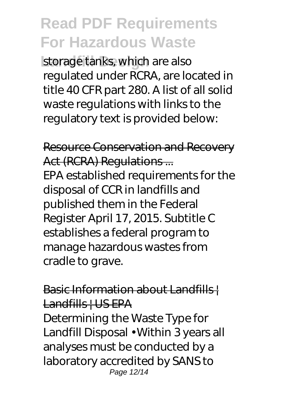storage tanks, which are also regulated under RCRA, are located in title 40 CFR part 280. A list of all solid waste regulations with links to the regulatory text is provided below:

Resource Conservation and Recovery Act (RCRA) Regulations ... EPA established requirements for the disposal of CCR in landfills and published them in the Federal Register April 17, 2015. Subtitle C establishes a federal program to manage hazardous wastes from cradle to grave.

Basic Information about Landfills | Landfills | US EPA

Determining the Waste Type for Landfill Disposal • Within 3 years all analyses must be conducted by a laboratory accredited by SANS to Page 12/14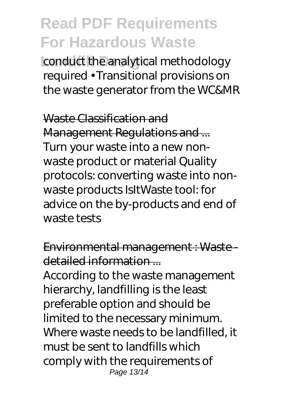conduct the analytical methodology required • Transitional provisions on the waste generator from the WC&MR

Waste Classification and Management Regulations and ... Turn your waste into a new nonwaste product or material Quality protocols: converting waste into nonwaste products IsItWaste tool: for advice on the by-products and end of waste tests

Environmental management : Waste detailed information ...

According to the waste management hierarchy, landfilling is the least preferable option and should be limited to the necessary minimum. Where waste needs to be landfilled, it must be sent to landfills which comply with the requirements of Page 13/14